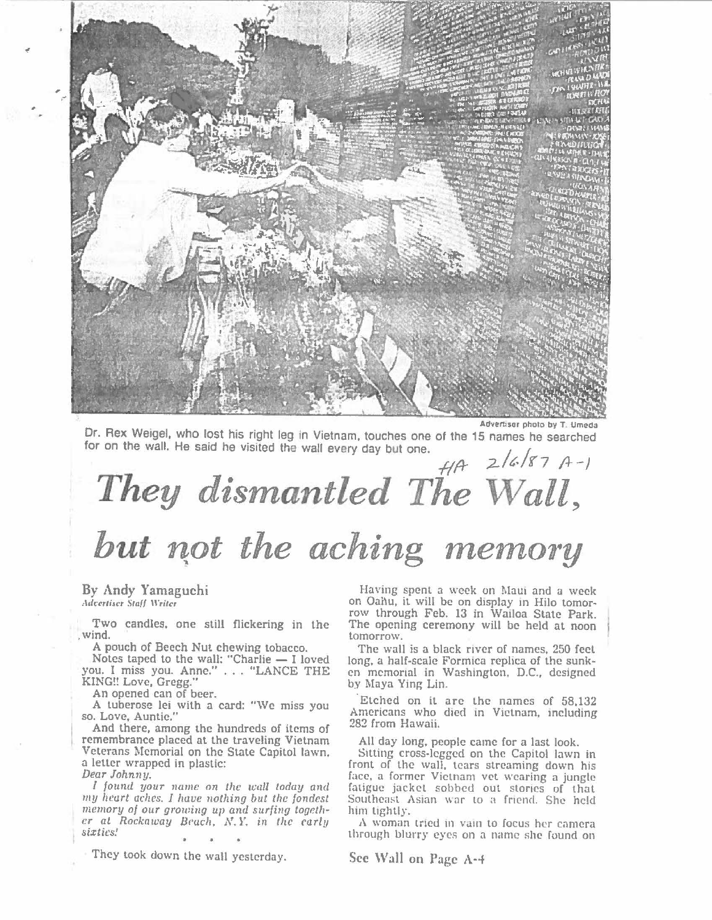

Or. Rex Weigel, who lost his right leg in Vietnam, touches one of the 15 names he searched for on the wall. He said he visited the wall every day but one.

## *fl/} ;2.../C.!1'7* /+-} *They dismantled The Wall,*  but not the aching memory

By Andy Yamaguchi *,\di:ertiicr Stnf/ \\"rite,* 

Two candles, one still flickering in the ,wind.

A pouch of Beech Nut chewing tobacco.

Notes taped to the wall: "Charlie  $-$  I loved you. I miss you. Anne." ... "LANCE THE **KING!!** Love, Gregg."

An opened can of beer.

A tuberose lei with a card: "We miss you so. Love, Auntie."

And there, among the hundreds of items of remembrance placed at the traveling Vietnam Veterans Memorial on the State Capitol lawn, a letter wrapped in plastic: *Dear Johnny,* 

*I found your name* on *the wall today and my heart aches. I have nothing but the fondest*  memory of our growing up and surfing togeth*er at Rockaway Beach, N.Y. in the early sixties!* 

They took down the wall yesterday.

Having spent a week on Maui and a week on Oahu, it will be on display in Hilo tomorrow through Feb. 13 in Wailoa State Park. The opening ceremony will be held at noon tomorrow.

The wall is a black river of names, 250 feet long, a half-scale Formica replica of the sunken memorial in Washington, D.C., designed by Maya Ying Lin.

Etched on it arc the names of 58,132 Americans who died in Vietnam, including 282 from Hawaii.

All day long, people came for a last look.

Sitting cross-legged on the Capitol lawn in front of the wall. tears streaming down his face, a former Vietnam vet wearing a jungle fatigue jacket sobbed out stories of that Southeast Asian war to a friend. She held him tightly.

A woman tried in vain to focus her camera through blurry eyes on a name she found on

**Sec \Vall on Page A-4**